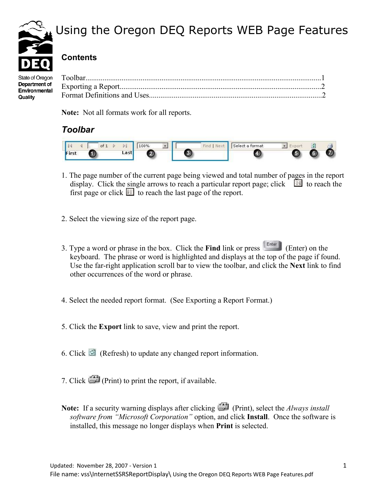

## Using the Oregon DEQ Reports WEB Page Features

### **Contents**

State of Oregon Department of Environmental Quality

**Note:** Not all formats work for all reports.

### *Toolbar*



- 1. The page number of the current page being viewed and total number of pages in the report display. Click the single arrows to reach a particular report page; click  $\Box$  to reach the first page or click  $\Box$  to reach the last page of the report.
- 2. Select the viewing size of the report page.
- 3. Type a word or phrase in the box. Click the **Find** link or press (Enter) on the keyboard. The phrase or word is highlighted and displays at the top of the page if found. Use the far-right application scroll bar to view the toolbar, and click the **Next** link to find other occurrences of the word or phrase.
- 4. Select the needed report format. (See Exporting a Report Format.)
- 5. Click the **Export** link to save, view and print the report.
- 6. Click  $\Box$  (Refresh) to update any changed report information.
- 7. Click (Print) to print the report, if available.
- Note: If a security warning displays after clicking (Print), select the *Always install software from "Microsoft Corporation"* option, and click **Install**. Once the software is installed, this message no longer displays when **Print** is selected.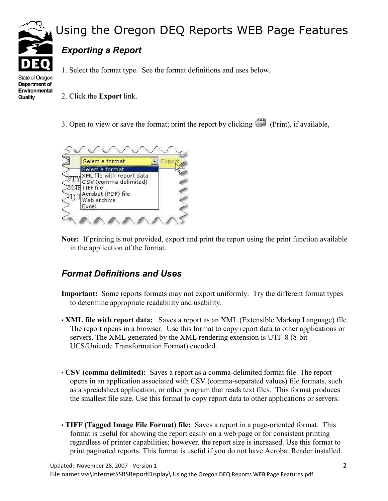

# Using the Oregon DEQ Reports WEB Page Features

### *Exporting a Report*

1. Select the format type. See the format definitions and uses below.

State of Oregon Department of Environmental **Quality** 

- 2. Click the **Export** link.
- 3. Open to view or save the format; print the report by clicking (Print), if available,



**Note:** If printing is not provided, export and print the report using the print function available in the application of the format.

#### *Format Definitions and Uses*

- **Important:** Some reports formats may not export uniformly. Try the different format types to determine appropriate readability and usability.
- **XML file with report data:** Saves a report as an XML (Extensible Markup Language) file. The report opens in a browser. Use this format to copy report data to other applications or servers. The XML generated by the XML rendering extension is UTF-8 (8-bit UCS/Unicode Transformation Format) encoded.
- **CSV (comma delimited):** Saves a report as a comma-delimited format file. The report opens in an application associated with CSV (comma-separated values) file formats, such as a spreadsheet application, or other program that reads text files. This format produces the smallest file size. Use this format to copy report data to other applications or servers.
- **TIFF (Tagged Image File Format) file:** Saves a report in a page-oriented format. This format is useful for showing the report easily on a web page or for consistent printing regardless of printer capabilities; however, the report size is increased. Use this format to print paginated reports. This format is useful if you do not have Acrobat Reader installed.